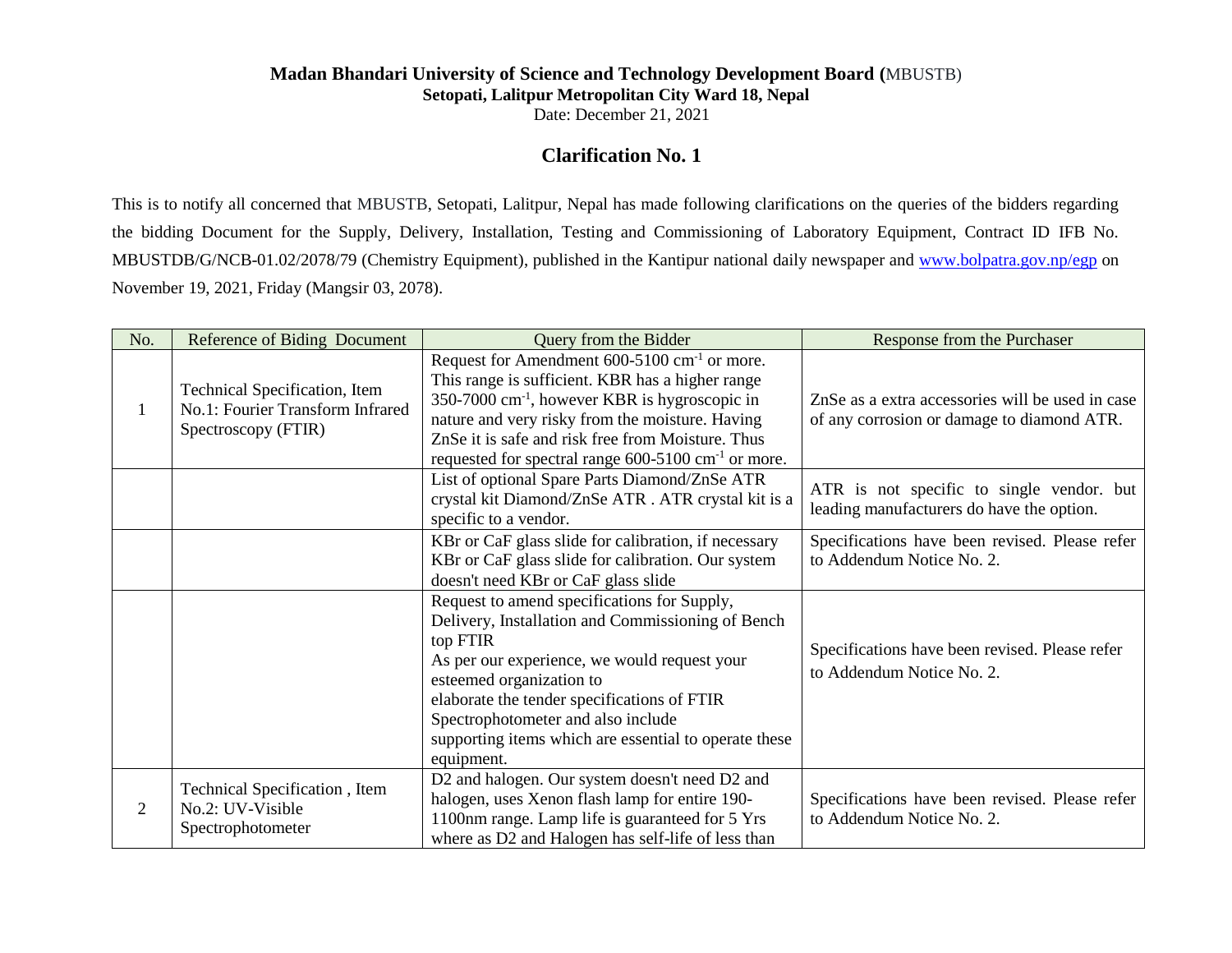## **Madan Bhandari University of Science and Technology Development Board (**MBUSTB) **Setopati, Lalitpur Metropolitan City Ward 18, Nepal**

Date: December 21, 2021

## **Clarification No. 1**

This is to notify all concerned that MBUSTB, Setopati, Lalitpur, Nepal has made following clarifications on the queries of the bidders regarding the bidding Document for the Supply, Delivery, Installation, Testing and Commissioning of Laboratory Equipment, Contract ID IFB No. MBUSTDB/G/NCB-01.02/2078/79 (Chemistry Equipment), published in the Kantipur national daily newspaper and [www.bolpatra.gov.np/egp](http://www.bolpatra.gov.np/egp) on November 19, 2021, Friday (Mangsir 03, 2078).

| No. | Reference of Biding Document                                                             | Query from the Bidder                                                                                                                                                                                                                                                                                                                                    | Response from the Purchaser                                                                    |
|-----|------------------------------------------------------------------------------------------|----------------------------------------------------------------------------------------------------------------------------------------------------------------------------------------------------------------------------------------------------------------------------------------------------------------------------------------------------------|------------------------------------------------------------------------------------------------|
| 1   | Technical Specification, Item<br>No.1: Fourier Transform Infrared<br>Spectroscopy (FTIR) | Request for Amendment 600-5100 cm <sup>-1</sup> or more.<br>This range is sufficient. KBR has a higher range<br>$350-7000$ cm <sup>-1</sup> , however KBR is hygroscopic in<br>nature and very risky from the moisture. Having<br>ZnSe it is safe and risk free from Moisture. Thus<br>requested for spectral range $600-5100$ cm <sup>-1</sup> or more. | ZnSe as a extra accessories will be used in case<br>of any corrosion or damage to diamond ATR. |
|     |                                                                                          | List of optional Spare Parts Diamond/ZnSe ATR<br>crystal kit Diamond/ZnSe ATR . ATR crystal kit is a<br>specific to a vendor.                                                                                                                                                                                                                            | ATR is not specific to single vendor. but<br>leading manufacturers do have the option.         |
|     |                                                                                          | KBr or CaF glass slide for calibration, if necessary<br>KBr or CaF glass slide for calibration. Our system<br>doesn't need KBr or CaF glass slide                                                                                                                                                                                                        | Specifications have been revised. Please refer<br>to Addendum Notice No. 2.                    |
|     |                                                                                          | Request to amend specifications for Supply,<br>Delivery, Installation and Commissioning of Bench<br>top FTIR<br>As per our experience, we would request your<br>esteemed organization to<br>elaborate the tender specifications of FTIR<br>Spectrophotometer and also include<br>supporting items which are essential to operate these<br>equipment.     | Specifications have been revised. Please refer<br>to Addendum Notice No. 2.                    |
| 2   | Technical Specification, Item<br>No.2: UV-Visible<br>Spectrophotometer                   | D2 and halogen. Our system doesn't need D2 and<br>halogen, uses Xenon flash lamp for entire 190-<br>1100nm range. Lamp life is guaranteed for 5 Yrs<br>where as D2 and Halogen has self-life of less than                                                                                                                                                | Specifications have been revised. Please refer<br>to Addendum Notice No. 2.                    |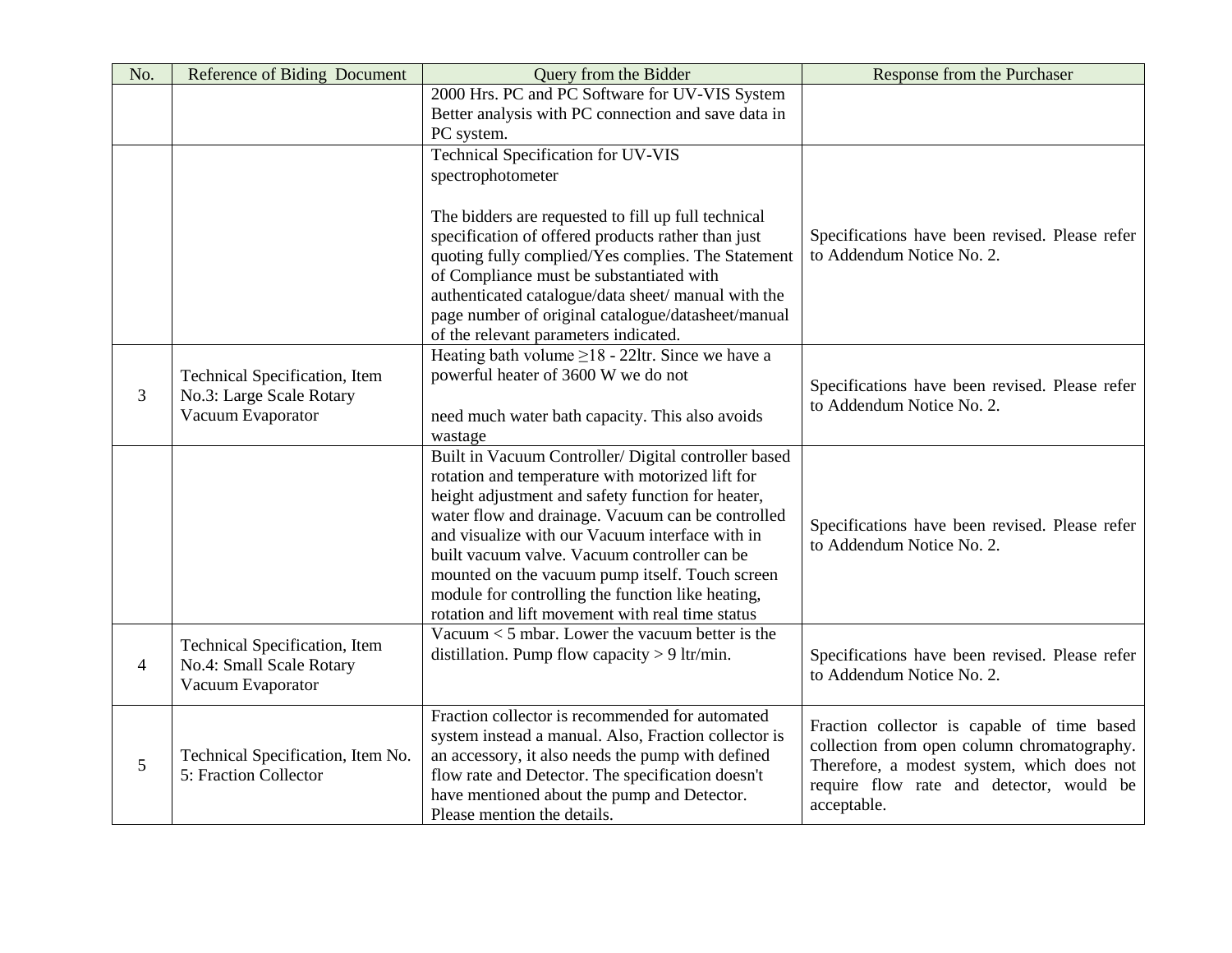| No.            | Reference of Biding Document                                                   | <b>Query from the Bidder</b>                                                                                                                                                                                                                                                                                                                                                                                                                                                      | Response from the Purchaser                                                                                                                                                                         |
|----------------|--------------------------------------------------------------------------------|-----------------------------------------------------------------------------------------------------------------------------------------------------------------------------------------------------------------------------------------------------------------------------------------------------------------------------------------------------------------------------------------------------------------------------------------------------------------------------------|-----------------------------------------------------------------------------------------------------------------------------------------------------------------------------------------------------|
|                |                                                                                | 2000 Hrs. PC and PC Software for UV-VIS System<br>Better analysis with PC connection and save data in                                                                                                                                                                                                                                                                                                                                                                             |                                                                                                                                                                                                     |
|                |                                                                                | PC system.                                                                                                                                                                                                                                                                                                                                                                                                                                                                        |                                                                                                                                                                                                     |
|                |                                                                                | <b>Technical Specification for UV-VIS</b>                                                                                                                                                                                                                                                                                                                                                                                                                                         |                                                                                                                                                                                                     |
|                |                                                                                | spectrophotometer                                                                                                                                                                                                                                                                                                                                                                                                                                                                 |                                                                                                                                                                                                     |
|                |                                                                                | The bidders are requested to fill up full technical<br>specification of offered products rather than just<br>quoting fully complied/Yes complies. The Statement<br>of Compliance must be substantiated with<br>authenticated catalogue/data sheet/ manual with the<br>page number of original catalogue/datasheet/manual                                                                                                                                                          | Specifications have been revised. Please refer<br>to Addendum Notice No. 2.                                                                                                                         |
|                |                                                                                | of the relevant parameters indicated.                                                                                                                                                                                                                                                                                                                                                                                                                                             |                                                                                                                                                                                                     |
| 3              | Technical Specification, Item<br>No.3: Large Scale Rotary<br>Vacuum Evaporator | Heating bath volume $\geq$ 18 - 221tr. Since we have a<br>powerful heater of 3600 W we do not<br>need much water bath capacity. This also avoids<br>wastage                                                                                                                                                                                                                                                                                                                       | Specifications have been revised. Please refer<br>to Addendum Notice No. 2.                                                                                                                         |
|                |                                                                                | Built in Vacuum Controller/ Digital controller based<br>rotation and temperature with motorized lift for<br>height adjustment and safety function for heater,<br>water flow and drainage. Vacuum can be controlled<br>and visualize with our Vacuum interface with in<br>built vacuum valve. Vacuum controller can be<br>mounted on the vacuum pump itself. Touch screen<br>module for controlling the function like heating,<br>rotation and lift movement with real time status | Specifications have been revised. Please refer<br>to Addendum Notice No. 2.                                                                                                                         |
| $\overline{4}$ | Technical Specification, Item<br>No.4: Small Scale Rotary<br>Vacuum Evaporator | Vacuum $<$ 5 mbar. Lower the vacuum better is the<br>distillation. Pump flow capacity $> 9$ ltr/min.                                                                                                                                                                                                                                                                                                                                                                              | Specifications have been revised. Please refer<br>to Addendum Notice No. 2.                                                                                                                         |
| 5              | Technical Specification, Item No.<br>5: Fraction Collector                     | Fraction collector is recommended for automated<br>system instead a manual. Also, Fraction collector is<br>an accessory, it also needs the pump with defined<br>flow rate and Detector. The specification doesn't<br>have mentioned about the pump and Detector.<br>Please mention the details.                                                                                                                                                                                   | Fraction collector is capable of time based<br>collection from open column chromatography.<br>Therefore, a modest system, which does not<br>require flow rate and detector, would be<br>acceptable. |